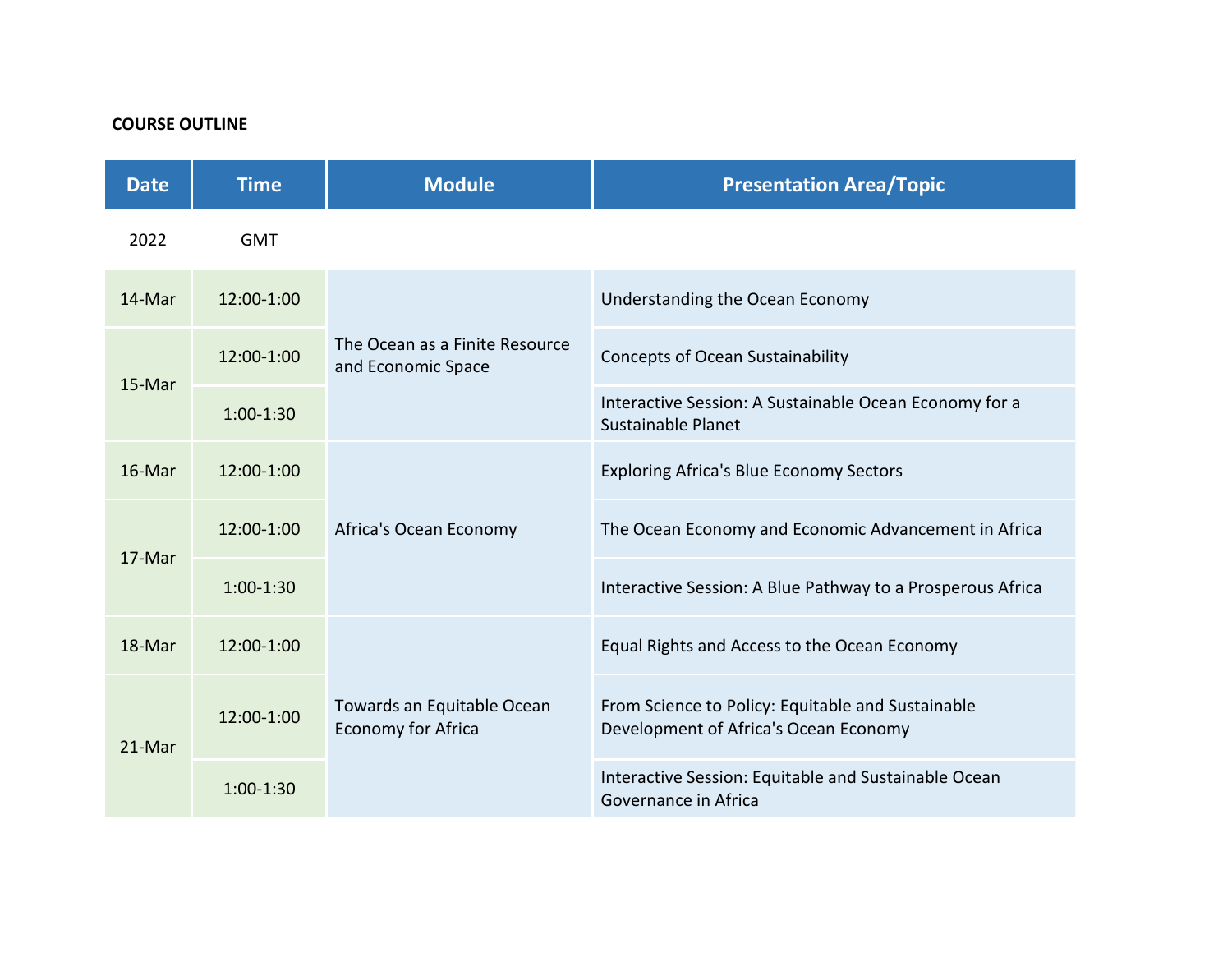# **COURSE OUTLINE**

| <b>Date</b> | <b>Time</b> | <b>Module</b>                                           | <b>Presentation Area/Topic</b>                                                             |
|-------------|-------------|---------------------------------------------------------|--------------------------------------------------------------------------------------------|
| 2022        | <b>GMT</b>  |                                                         |                                                                                            |
| 14-Mar      | 12:00-1:00  | The Ocean as a Finite Resource<br>and Economic Space    | Understanding the Ocean Economy                                                            |
| 15-Mar      | 12:00-1:00  |                                                         | <b>Concepts of Ocean Sustainability</b>                                                    |
|             | $1:00-1:30$ |                                                         | Interactive Session: A Sustainable Ocean Economy for a<br>Sustainable Planet               |
| 16-Mar      | 12:00-1:00  | Africa's Ocean Economy                                  | <b>Exploring Africa's Blue Economy Sectors</b>                                             |
| 17-Mar      | 12:00-1:00  |                                                         | The Ocean Economy and Economic Advancement in Africa                                       |
|             | $1:00-1:30$ |                                                         | Interactive Session: A Blue Pathway to a Prosperous Africa                                 |
| 18-Mar      | 12:00-1:00  | Towards an Equitable Ocean<br><b>Economy for Africa</b> | Equal Rights and Access to the Ocean Economy                                               |
| 21-Mar      | 12:00-1:00  |                                                         | From Science to Policy: Equitable and Sustainable<br>Development of Africa's Ocean Economy |
|             | $1:00-1:30$ |                                                         | Interactive Session: Equitable and Sustainable Ocean<br>Governance in Africa               |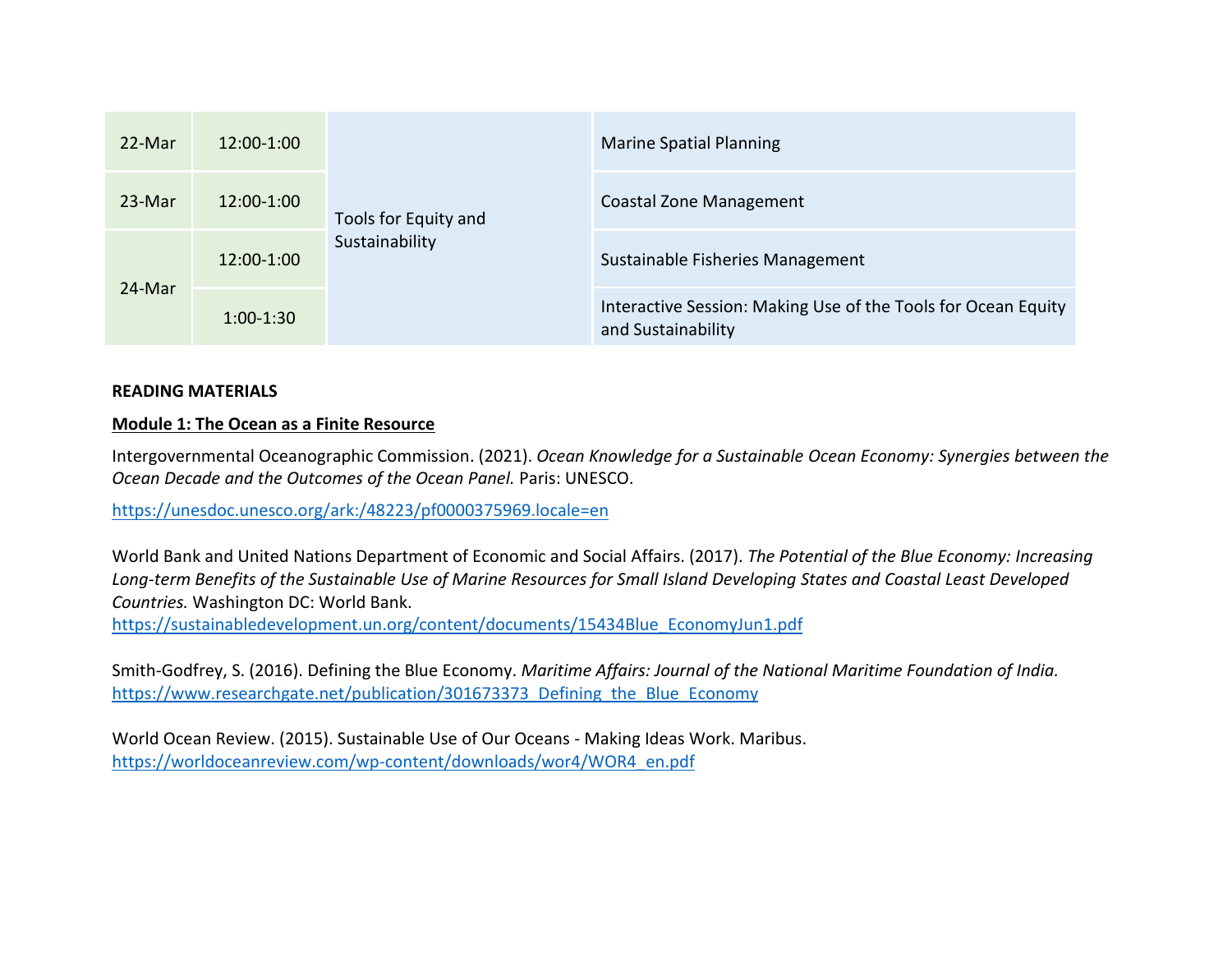| 22-Mar | 12:00-1:00  | Tools for Equity and<br>Sustainability | <b>Marine Spatial Planning</b>                                                      |
|--------|-------------|----------------------------------------|-------------------------------------------------------------------------------------|
| 23-Mar | 12:00-1:00  |                                        | Coastal Zone Management                                                             |
| 24-Mar | 12:00-1:00  |                                        | Sustainable Fisheries Management                                                    |
|        | $1:00-1:30$ |                                        | Interactive Session: Making Use of the Tools for Ocean Equity<br>and Sustainability |

## **READING MATERIALS**

#### **Module 1: The Ocean as a Finite Resource**

Intergovernmental Oceanographic Commission. (2021). *Ocean Knowledge for a Sustainable Ocean Economy: Synergies between the Ocean Decade and the Outcomes of the Ocean Panel.* Paris: UNESCO.

<https://unesdoc.unesco.org/ark:/48223/pf0000375969.locale=en>

World Bank and United Nations Department of Economic and Social Affairs. (2017). *The Potential of the Blue Economy: Increasing* Long-term Benefits of the Sustainable Use of Marine Resources for Small Island Developing States and Coastal Least Developed *Countries.* Washington DC: World Bank.

[https://sustainabledevelopment.un.org/content/documents/15434Blue\\_EconomyJun1.pdf](https://sustainabledevelopment.un.org/content/documents/15434Blue_EconomyJun1.pdf)

Smith-Godfrey, S. (2016). Defining the Blue Economy. *Maritime Affairs: Journal of the National Maritime Foundation of India.* https://www.researchgate.net/publication/301673373 Defining the Blue Economy

World Ocean Review. (2015). Sustainable Use of Our Oceans - Making Ideas Work. Maribus. [https://worldoceanreview.com/wp-content/downloads/wor4/WOR4\\_en.pdf](https://worldoceanreview.com/wp-content/downloads/wor4/WOR4_en.pdf)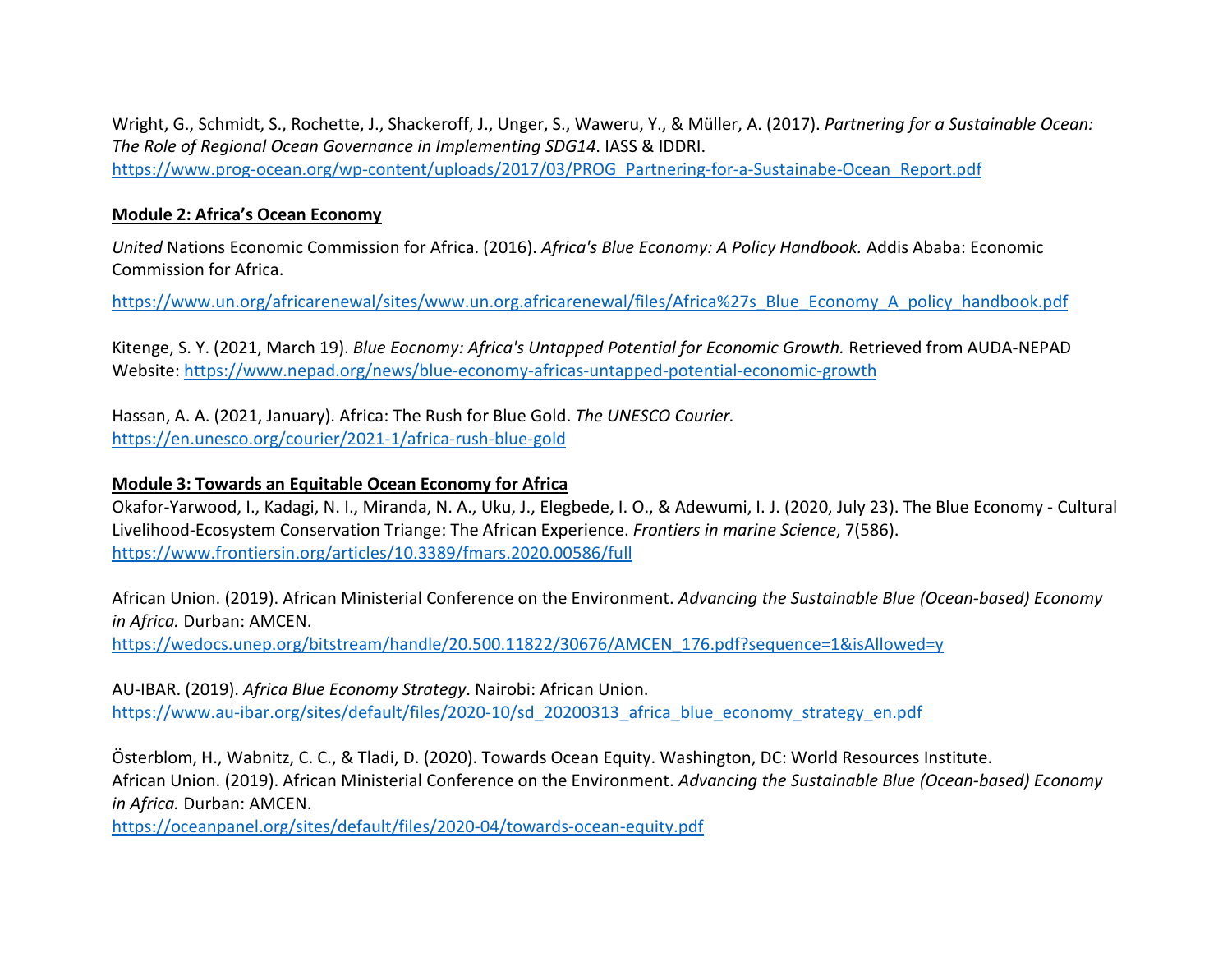Wright, G., Schmidt, S., Rochette, J., Shackeroff, J., Unger, S., Waweru, Y., & Müller, A. (2017). *Partnering for a Sustainable Ocean: The Role of Regional Ocean Governance in Implementing SDG14*. IASS & IDDRI. [https://www.prog-ocean.org/wp-content/uploads/2017/03/PROG\\_Partnering-for-a-Sustainabe-Ocean\\_Report.pdf](https://www.prog-ocean.org/wp-content/uploads/2017/03/PROG_Partnering-for-a-Sustainabe-Ocean_Report.pdf)

## **Module 2: Africa's Ocean Economy**

*United* Nations Economic Commission for Africa. (2016). *Africa's Blue Economy: A Policy Handbook.* Addis Ababa: Economic Commission for Africa.

[https://www.un.org/africarenewal/sites/www.un.org.africarenewal/files/Africa%27s\\_Blue\\_Economy\\_A\\_policy\\_handbook.pdf](https://www.un.org/africarenewal/sites/www.un.org.africarenewal/files/Africa%27s_Blue_Economy_A_policy_handbook.pdf)

Kitenge, S. Y. (2021, March 19). *Blue Eocnomy: Africa's Untapped Potential for Economic Growth.* Retrieved from AUDA-NEPAD Website: <https://www.nepad.org/news/blue-economy-africas-untapped-potential-economic-growth>

Hassan, A. A. (2021, January). Africa: The Rush for Blue Gold. *The UNESCO Courier.* <https://en.unesco.org/courier/2021-1/africa-rush-blue-gold>

### **Module 3: Towards an Equitable Ocean Economy for Africa**

Okafor-Yarwood, I., Kadagi, N. I., Miranda, N. A., Uku, J., Elegbede, I. O., & Adewumi, I. J. (2020, July 23). The Blue Economy - Cultural Livelihood-Ecosystem Conservation Triange: The African Experience. *Frontiers in marine Science*, 7(586). <https://www.frontiersin.org/articles/10.3389/fmars.2020.00586/full>

African Union. (2019). African Ministerial Conference on the Environment. *Advancing the Sustainable Blue (Ocean-based) Economy in Africa.* Durban: AMCEN.

[https://wedocs.unep.org/bitstream/handle/20.500.11822/30676/AMCEN\\_176.pdf?sequence=1&isAllowed=y](https://wedocs.unep.org/bitstream/handle/20.500.11822/30676/AMCEN_176.pdf?sequence=1&isAllowed=y)

AU-IBAR. (2019). *Africa Blue Economy Strategy*. Nairobi: African Union. [https://www.au-ibar.org/sites/default/files/2020-10/sd\\_20200313\\_africa\\_blue\\_economy\\_strategy\\_en.pdf](https://www.au-ibar.org/sites/default/files/2020-10/sd_20200313_africa_blue_economy_strategy_en.pdf)

Österblom, H., Wabnitz, C. C., & Tladi, D. (2020). Towards Ocean Equity. Washington, DC: World Resources Institute. African Union. (2019). African Ministerial Conference on the Environment. *Advancing the Sustainable Blue (Ocean-based) Economy in Africa.* Durban: AMCEN.

<https://oceanpanel.org/sites/default/files/2020-04/towards-ocean-equity.pdf>